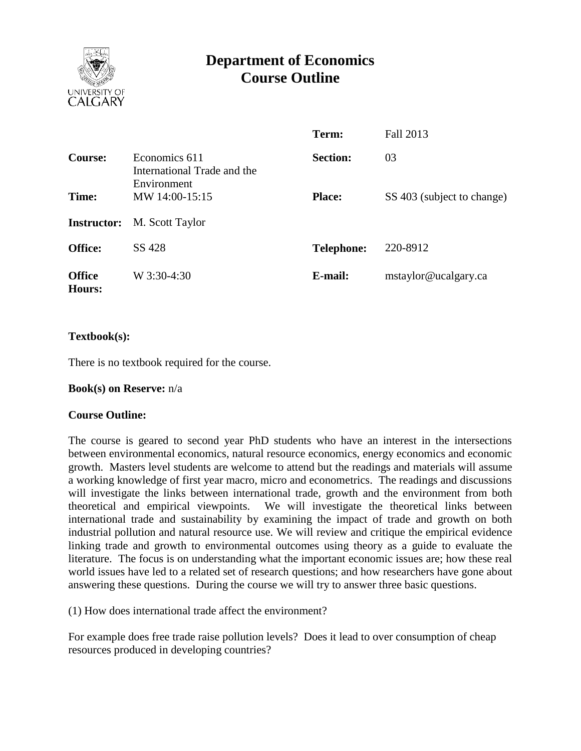

# **Department of Economics Course Outline**

|                         |                                                             | Term:             | Fall 2013                  |
|-------------------------|-------------------------------------------------------------|-------------------|----------------------------|
| <b>Course:</b>          | Economics 611<br>International Trade and the<br>Environment | <b>Section:</b>   | 03                         |
| Time:                   | MW 14:00-15:15                                              | <b>Place:</b>     | SS 403 (subject to change) |
| <b>Instructor:</b>      | M. Scott Taylor                                             |                   |                            |
| <b>Office:</b>          | SS 428                                                      | <b>Telephone:</b> | 220-8912                   |
| <b>Office</b><br>Hours: | W 3:30-4:30                                                 | E-mail:           | mstaylor@ucalgary.ca       |

## **Textbook(s):**

There is no textbook required for the course.

#### **Book(s) on Reserve:** n/a

## **Course Outline:**

The course is geared to second year PhD students who have an interest in the intersections between environmental economics, natural resource economics, energy economics and economic growth. Masters level students are welcome to attend but the readings and materials will assume a working knowledge of first year macro, micro and econometrics. The readings and discussions will investigate the links between international trade, growth and the environment from both theoretical and empirical viewpoints. We will investigate the theoretical links between international trade and sustainability by examining the impact of trade and growth on both industrial pollution and natural resource use. We will review and critique the empirical evidence linking trade and growth to environmental outcomes using theory as a guide to evaluate the literature. The focus is on understanding what the important economic issues are; how these real world issues have led to a related set of research questions; and how researchers have gone about answering these questions. During the course we will try to answer three basic questions.

(1) How does international trade affect the environment?

For example does free trade raise pollution levels? Does it lead to over consumption of cheap resources produced in developing countries?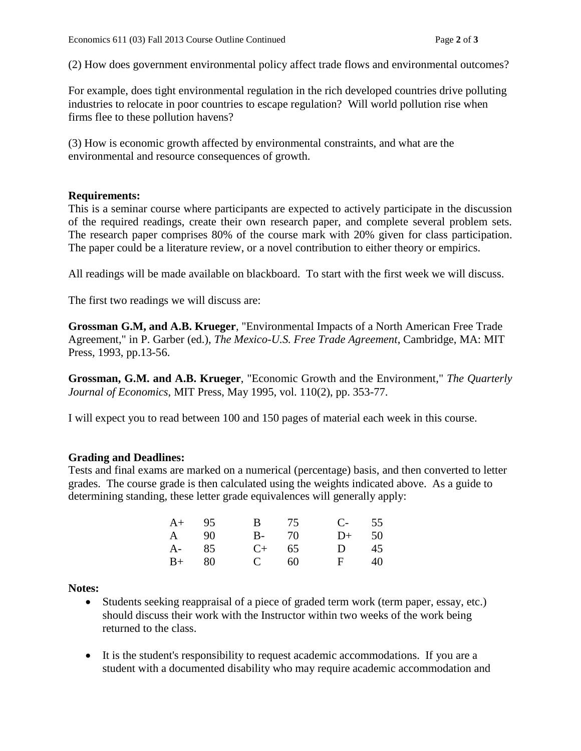(2) How does government environmental policy affect trade flows and environmental outcomes?

For example, does tight environmental regulation in the rich developed countries drive polluting industries to relocate in poor countries to escape regulation? Will world pollution rise when firms flee to these pollution havens?

(3) How is economic growth affected by environmental constraints, and what are the environmental and resource consequences of growth.

### **Requirements:**

This is a seminar course where participants are expected to actively participate in the discussion of the required readings, create their own research paper, and complete several problem sets. The research paper comprises 80% of the course mark with 20% given for class participation. The paper could be a literature review, or a novel contribution to either theory or empirics.

All readings will be made available on blackboard. To start with the first week we will discuss.

The first two readings we will discuss are:

**Grossman G.M, and A.B. Krueger**, "Environmental Impacts of a North American Free Trade Agreement," in P. Garber (ed.), *The Mexico-U.S. Free Trade Agreement*, Cambridge, MA: MIT Press, 1993, pp.13-56.

**Grossman, G.M. and A.B. Krueger**, ["Economic Growth and the Environment,](http://ideas.repec.org/a/tpr/qjecon/v110y1995i2p353-77.html)" *[The Quarterly](http://ideas.repec.org/s/tpr/qjecon.html)  [Journal of Economics](http://ideas.repec.org/s/tpr/qjecon.html)*, MIT Press, May 1995, vol. 110(2), pp. 353-77.

I will expect you to read between 100 and 150 pages of material each week in this course.

#### **Grading and Deadlines:**

Tests and final exams are marked on a numerical (percentage) basis, and then converted to letter grades. The course grade is then calculated using the weights indicated above. As a guide to determining standing, these letter grade equivalences will generally apply:

| $A+$ 95 |             | B 75 C- 55 |  |
|---------|-------------|------------|--|
| A 90    | $B-70$      | $D+ 50$    |  |
| A- 85   | $C_{+}$ 65  | D $45$     |  |
| $B+ 80$ | $C \t\t 60$ | F 40       |  |

**Notes:**

- Students seeking reappraisal of a piece of graded term work (term paper, essay, etc.) should discuss their work with the Instructor within two weeks of the work being returned to the class.
- It is the student's responsibility to request academic accommodations. If you are a student with a documented disability who may require academic accommodation and